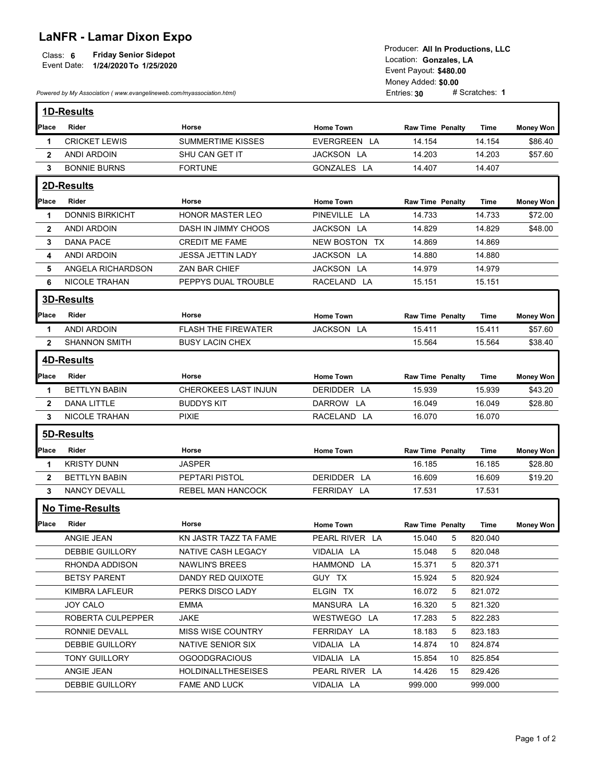## LaNFR - Lamar Dixon Expo

|          |                                    | Producer. All in Productions. LLC |  |  |
|----------|------------------------------------|-----------------------------------|--|--|
| Class: 6 | <b>Friday Senior Sidepot</b>       | Location: Gonzales. LA            |  |  |
|          | Event Date: 1/24/2020 To 1/25/2020 |                                   |  |  |
|          |                                    | Event Payout: \$480.00            |  |  |
|          |                                    |                                   |  |  |
|          |                                    | Monoy Addod: <b>CO 00</b>         |  |  |

|              | <b>LaNFR - Lamar Dixon Expo</b><br>Class: 6<br><b>Friday Senior Sidepot</b><br>Event Date: 1/24/2020 To 1/25/2020 |                           |                  |                           | Producer: All In Productions, LLC<br>Location: Gonzales, LA<br>Event Payout: \$480.00<br>Money Added: \$0.00<br># Scratches: 1 |                  |  |
|--------------|-------------------------------------------------------------------------------------------------------------------|---------------------------|------------------|---------------------------|--------------------------------------------------------------------------------------------------------------------------------|------------------|--|
|              | Powered by My Association (www.evangelineweb.com/myassociation.html)                                              |                           |                  | Entries: 30               |                                                                                                                                |                  |  |
|              | <b>1D-Results</b>                                                                                                 |                           |                  |                           |                                                                                                                                |                  |  |
| Place        | Rider                                                                                                             | Horse                     | <b>Home Town</b> | <b>Raw Time Penalty</b>   | Time                                                                                                                           | <b>Money Won</b> |  |
| -1           | <b>CRICKET LEWIS</b>                                                                                              | <b>SUMMERTIME KISSES</b>  | EVERGREEN LA     | 14.154                    | 14.154                                                                                                                         | \$86.40          |  |
| $\mathbf{2}$ | ANDI ARDOIN                                                                                                       | SHU CAN GET IT            | JACKSON LA       | 14.203                    | 14.203                                                                                                                         | \$57.60          |  |
| 3            | <b>BONNIE BURNS</b>                                                                                               | <b>FORTUNE</b>            | GONZALES LA      | 14.407                    | 14.407                                                                                                                         |                  |  |
|              | 2D-Results                                                                                                        |                           |                  |                           |                                                                                                                                |                  |  |
| Place        | Rider                                                                                                             | Horse                     | <b>Home Town</b> | <b>Raw Time Penalty</b>   | Time                                                                                                                           | <b>Money Won</b> |  |
| 1            | <b>DONNIS BIRKICHT</b>                                                                                            | <b>HONOR MASTER LEO</b>   | PINEVILLE LA     | 14.733                    | 14.733                                                                                                                         | \$72.00          |  |
| $\mathbf{2}$ | <b>ANDI ARDOIN</b>                                                                                                | DASH IN JIMMY CHOOS       | JACKSON LA       | 14.829                    | 14.829                                                                                                                         | \$48.00          |  |
| 3            | <b>DANA PACE</b>                                                                                                  | <b>CREDIT ME FAME</b>     | NEW BOSTON TX    | 14.869                    | 14.869                                                                                                                         |                  |  |
| 4            | ANDI ARDOIN                                                                                                       | <b>JESSA JETTIN LADY</b>  | JACKSON LA       | 14.880                    | 14.880                                                                                                                         |                  |  |
| 5.           | ANGELA RICHARDSON                                                                                                 | ZAN BAR CHIEF             | JACKSON LA       | 14.979                    | 14.979                                                                                                                         |                  |  |
| 6            | <b>NICOLE TRAHAN</b>                                                                                              | PEPPYS DUAL TROUBLE       | RACELAND LA      | 15.151                    | 15.151                                                                                                                         |                  |  |
|              |                                                                                                                   |                           |                  |                           |                                                                                                                                |                  |  |
|              | <b>3D-Results</b>                                                                                                 |                           |                  |                           |                                                                                                                                |                  |  |
| Place        | Rider                                                                                                             | Horse                     | <b>Home Town</b> | <b>Raw Time Penalty</b>   | Time                                                                                                                           | <b>Money Won</b> |  |
| $\mathbf 1$  | <b>ANDI ARDOIN</b>                                                                                                | FLASH THE FIREWATER       | JACKSON LA       | 15.411                    | 15.411                                                                                                                         | \$57.60          |  |
| $\mathbf{2}$ | SHANNON SMITH                                                                                                     | <b>BUSY LACIN CHEX</b>    |                  | 15.564                    | 15.564                                                                                                                         | \$38.40          |  |
|              | 4D-Results                                                                                                        |                           |                  |                           |                                                                                                                                |                  |  |
| Place        | Rider                                                                                                             | Horse                     | <b>Home Town</b> | <b>Raw Time Penalty</b>   | Time                                                                                                                           | <b>Money Won</b> |  |
| 1.           | <b>BETTLYN BABIN</b>                                                                                              | CHEROKEES LAST INJUN      | DERIDDER LA      | 15.939                    | 15.939                                                                                                                         | \$43.20          |  |
| $\mathbf{2}$ | <b>DANA LITTLE</b>                                                                                                | <b>BUDDYS KIT</b>         | DARROW LA        | 16.049                    | 16.049                                                                                                                         | \$28.80          |  |
| 3            | <b>NICOLE TRAHAN</b>                                                                                              | <b>PIXIE</b>              | RACELAND LA      | 16.070                    | 16.070                                                                                                                         |                  |  |
|              |                                                                                                                   |                           |                  |                           |                                                                                                                                |                  |  |
|              | 5D-Results                                                                                                        |                           |                  |                           |                                                                                                                                |                  |  |
| Place        | Rider                                                                                                             | Horse                     | <b>Home Town</b> | <b>Raw Time Penalty</b>   | <b>Time</b>                                                                                                                    | <b>Money Won</b> |  |
| 1            | <b>KRISTY DUNN</b>                                                                                                | <b>JASPER</b>             |                  | 16.185                    | 16.185                                                                                                                         | \$28.80          |  |
| $\mathbf{2}$ | <b>BETTLYN BABIN</b>                                                                                              | PEPTARI PISTOL            | DERIDDER LA      | 16.609                    | 16.609                                                                                                                         | \$19.20          |  |
| 3            | NANCY DEVALL                                                                                                      | REBEL MAN HANCOCK         | FERRIDAY LA      | 17.531                    | 17.531                                                                                                                         |                  |  |
|              | No Time-Results                                                                                                   |                           |                  |                           |                                                                                                                                |                  |  |
| <b>Place</b> | Rider                                                                                                             | Horse                     | <b>Home Town</b> | Raw Time Penalty          | <b>Time</b>                                                                                                                    | <b>Money Won</b> |  |
|              | ANGIE JEAN                                                                                                        | KN JASTR TAZZ TA FAME     | PEARL RIVER LA   | 15.040<br>$5\overline{5}$ | 820.040                                                                                                                        |                  |  |
|              | DEBBIE GUILLORY                                                                                                   | NATIVE CASH LEGACY        | VIDALIA LA       | 15.048<br>5               | 820.048                                                                                                                        |                  |  |
|              | RHONDA ADDISON                                                                                                    | NAWLIN'S BREES            | HAMMOND LA       | 15.371<br>5               | 820.371                                                                                                                        |                  |  |
|              | <b>BETSY PARENT</b>                                                                                               | DANDY RED QUIXOTE         | GUY TX           | 15.924<br>5               | 820.924                                                                                                                        |                  |  |
|              | KIMBRA LAFLEUR                                                                                                    | PERKS DISCO LADY          | ELGIN TX         | 16.072<br>5               | 821.072                                                                                                                        |                  |  |
|              | JOY CALO                                                                                                          | <b>EMMA</b>               | MANSURA LA       | 16.320<br>5               | 821.320                                                                                                                        |                  |  |
|              | ROBERTA CULPEPPER                                                                                                 | <b>JAKE</b>               | WESTWEGO LA      | 17.283<br>5               | 822.283                                                                                                                        |                  |  |
|              | RONNIE DEVALL                                                                                                     | MISS WISE COUNTRY         | FERRIDAY LA      | 18.183<br>5               | 823.183                                                                                                                        |                  |  |
|              | DEBBIE GUILLORY                                                                                                   | NATIVE SENIOR SIX         | VIDALIA LA       | 14.874<br>10              | 824.874                                                                                                                        |                  |  |
|              | TONY GUILLORY                                                                                                     | <b>OGOODGRACIOUS</b>      | VIDALIA LA       | 15.854<br>10              | 825.854                                                                                                                        |                  |  |
|              | ANGIE JEAN                                                                                                        | <b>HOLDINALLTHESEISES</b> | PEARL RIVER LA   | 14.426<br>15              | 829.426                                                                                                                        |                  |  |
|              | DEBBIE GUILLORY                                                                                                   | FAME AND LUCK             | VIDALIA LA       |                           |                                                                                                                                |                  |  |